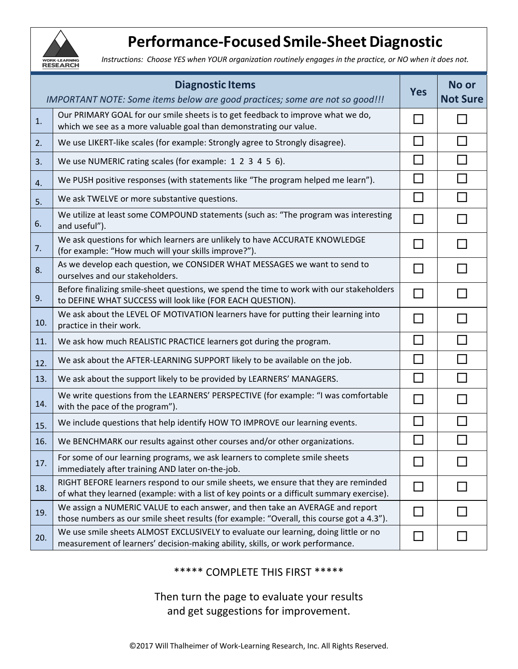

## **Performance‐Focused Smile‐Sheet Diagnostic**

*Instructions: Choose YES when YOUR organization routinely engages in the practice, or NO when it does not.*

| <b>Diagnostic Items</b>                                                      |                                                                                                                                                                                   |                | No or           |
|------------------------------------------------------------------------------|-----------------------------------------------------------------------------------------------------------------------------------------------------------------------------------|----------------|-----------------|
| IMPORTANT NOTE: Some items below are good practices; some are not so good!!! |                                                                                                                                                                                   |                | <b>Not Sure</b> |
| 1.                                                                           | Our PRIMARY GOAL for our smile sheets is to get feedback to improve what we do,<br>which we see as a more valuable goal than demonstrating our value.                             |                |                 |
| 2.                                                                           | We use LIKERT-like scales (for example: Strongly agree to Strongly disagree).                                                                                                     | П              |                 |
| 3.                                                                           | We use NUMERIC rating scales (for example: 1 2 3 4 5 6).                                                                                                                          | H              |                 |
| 4.                                                                           | We PUSH positive responses (with statements like "The program helped me learn").                                                                                                  | l I            |                 |
| 5.                                                                           | We ask TWELVE or more substantive questions.                                                                                                                                      | П              | П               |
| 6.                                                                           | We utilize at least some COMPOUND statements (such as: "The program was interesting<br>and useful").                                                                              | П              |                 |
| 7.                                                                           | We ask questions for which learners are unlikely to have ACCURATE KNOWLEDGE<br>(for example: "How much will your skills improve?").                                               |                |                 |
| 8.                                                                           | As we develop each question, we CONSIDER WHAT MESSAGES we want to send to<br>ourselves and our stakeholders.                                                                      | H              |                 |
| 9.                                                                           | Before finalizing smile-sheet questions, we spend the time to work with our stakeholders<br>to DEFINE WHAT SUCCESS will look like (FOR EACH QUESTION).                            | П              |                 |
| 10.                                                                          | We ask about the LEVEL OF MOTIVATION learners have for putting their learning into<br>practice in their work.                                                                     | $\sim$         |                 |
| 11.                                                                          | We ask how much REALISTIC PRACTICE learners got during the program.                                                                                                               | $\blacksquare$ |                 |
| 12.                                                                          | We ask about the AFTER-LEARNING SUPPORT likely to be available on the job.                                                                                                        | $\Box$         |                 |
| 13.                                                                          | We ask about the support likely to be provided by LEARNERS' MANAGERS.                                                                                                             | <b>College</b> |                 |
| 14.                                                                          | We write questions from the LEARNERS' PERSPECTIVE (for example: "I was comfortable<br>with the pace of the program").                                                             | $\blacksquare$ |                 |
| 15.                                                                          | We include questions that help identify HOW TO IMPROVE our learning events.                                                                                                       |                |                 |
| 16.                                                                          | We BENCHMARK our results against other courses and/or other organizations.                                                                                                        |                |                 |
| 17.                                                                          | For some of our learning programs, we ask learners to complete smile sheets<br>immediately after training AND later on-the-job.                                                   |                |                 |
| 18.                                                                          | RIGHT BEFORE learners respond to our smile sheets, we ensure that they are reminded<br>of what they learned (example: with a list of key points or a difficult summary exercise). | H              |                 |
| 19.                                                                          | We assign a NUMERIC VALUE to each answer, and then take an AVERAGE and report<br>those numbers as our smile sheet results (for example: "Overall, this course got a 4.3").        | П              |                 |
| 20.                                                                          | We use smile sheets ALMOST EXCLUSIVELY to evaluate our learning, doing little or no<br>measurement of learners' decision-making ability, skills, or work performance.             | $\Box$         |                 |

\*\*\*\*\* COMPLETE THIS FIRST \*\*\*\*\*

Then turn the page to evaluate your results and get suggestions for improvement.